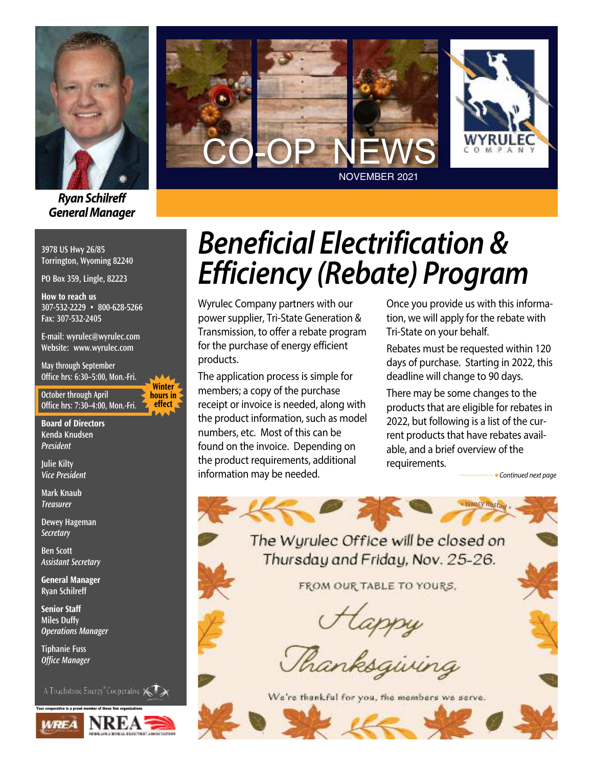

*RyanSchilreff General Manager*

**3978 US Hwy 26/85 Torrington, Wyoming 82240**

**PO Box 359, Lingle, 82223**

**How to reach us 307-532-2229 • 800-628-5266 Fax: 307-532-2405**

**E-mail: wyrulec@wyrulec.com Website: www.wyrulec.com**

**May through September Office hrs: 6:30–5:00, Mon.-Fri.**

**October through April Office hrs: 7:30–4:00, Mon.-Fri.**

**Winter hours in effect** 

**Board of Directors Kenda Knudsen** *President*

**Julie Kilty** *Vice President*

**Mark Knaub** *Treasurer*

**Dewey Hageman** *Secretary*

**Ben Scott** *Assistant Secretary*

**General Manager Ryan Schilreff**

**Senior Staff Miles Duffy** *Operations Manager*

**Tiphanie Fuss** *Office Manager*

A Touchstone Energy<sup>®</sup>Cooperative  $\leftarrow$ 





# *Beneficial Electrification & Efficiency (Rebate) Program*

Wyrulec Company partners with our power supplier, Tri-State Generation & Transmission, to offer a rebate program for the purchase of energy efficient products.

The application process is simple for members; a copy of the purchase receipt or invoice is needed, along with the product information, such as model numbers, etc. Most of this can be found on the invoice. Depending on the product requirements, additional information may be needed.

Once you provide us with this information, we will apply for the rebate with Tri-State on your behalf.

Rebates must be requested within 120 days of purchase. Starting in 2022, this deadline will change to 90 days.

There may be some changes to the products that are eligible for rebates in 2022, but following is a list of the current products that have rebates available, and a brief overview of the requirements.

**\***

**<sup>N</sup>anc<sup>y</sup> <sup>R</sup>ostad \***

*——————* <sup>n</sup> *Continued next page*

The Wurulec Office will be closed on Thursday and Friday, Nov. 25-26.

FROM OUR TABLE TO YOURS.

Happy<br>Thanksgiving

We're thankful for you, the members we serve.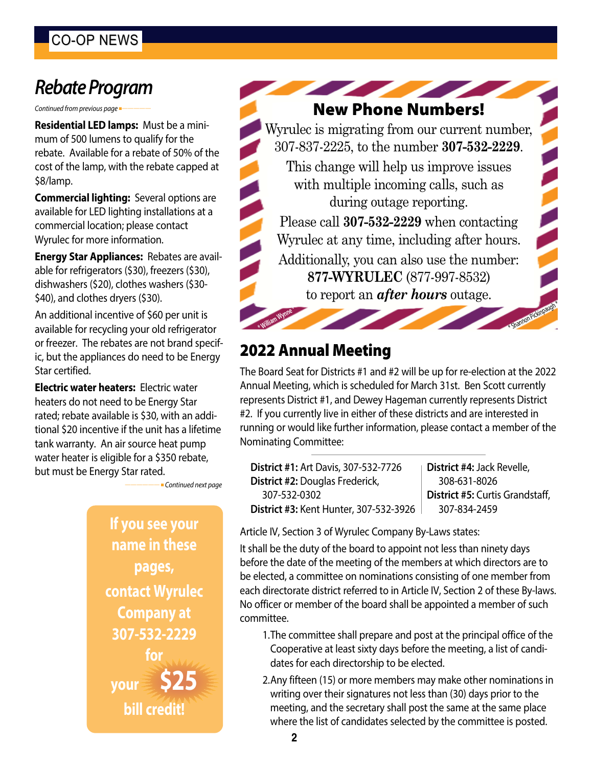## **Rebate Program**

*Continued from previous page* 

**Residential LED lamps:** Must be a minimum of 500 lumens to qualify for the rebate. Available for a rebate of 50% of the cost of the lamp, with the rebate capped at \$8/lamp.

**Commercial lighting:** Several options are available for LED lighting installations at a commercial location; please contact Wyrulec for more information.

**Energy Star Appliances:** Rebates are available for refrigerators (\$30), freezers (\$30), dishwashers (\$20), clothes washers (\$30- \$40), and clothes dryers (\$30).

An additional incentive of \$60 per unit is available for recycling your old refrigerator or freezer. The rebates are not brand specific, but the appliances do need to be Energy Star certified.

**Electric water heaters:** Electric water heaters do not need to be Energy Star rated; rebate available is \$30, with an additional \$20 incentive if the unit has a lifetime tank warranty. An air source heat pump water heater is eligible for a \$350 rebate, but must be Energy Star rated.

*——————* <sup>n</sup> *Continued next page*

**If you see your name in these pages, contact Wyrulec Company at 307-532-2229 for your \$25 bill credit!**

**New Phone Numbers!**

Wyrulec is migrating from our current number, 307-837-2225, to the number **307-532-2229**.

This change will help us improve issues with multiple incoming calls, such as during outage reporting.

Please call **307-532-2229** when contacting Wyrulec at any time, including after hours. Additionally, you can also use the number: **877-WYRULEC** (877-997-8532)

to report an *after hours* outage.

### **2022 Annual Meeting**

**William Wynne \***

The Board Seat for Districts #1 and #2 will be up for re-election at the 2022 Annual Meeting, which is scheduled for March 31st. Ben Scott currently represents District #1, and Dewey Hageman currently represents District #2. If you currently live in either of these districts and are interested in running or would like further information, please contact a member of the Nominating Committee:

**District #1:** Art Davis, 307-532-7726 **District #2:** Douglas Frederick, 307-532-0302 **District #3:** Kent Hunter, 307-532-3926 **District #4:** Jack Revelle, 308-631-8026 **District #5:** Curtis Grandstaff, 307-834-2459

\*

Shamon Pickinpaugh\*

Article IV, Section 3 of Wyrulec Company By-Laws states:

It shall be the duty of the board to appoint not less than ninety days before the date of the meeting of the members at which directors are to be elected, a committee on nominations consisting of one member from each directorate district referred to in Article IV, Section 2 of these By-laws. No officer or member of the board shall be appointed a member of such committee.

- 1.The committee shall prepare and post at the principal office of the Cooperative at least sixty days before the meeting, a list of candidates for each directorship to be elected.
- 2.Any fifteen (15) or more members may make other nominations in writing over their signatures not less than (30) days prior to the meeting, and the secretary shall post the same at the same place where the list of candidates selected by the committee is posted.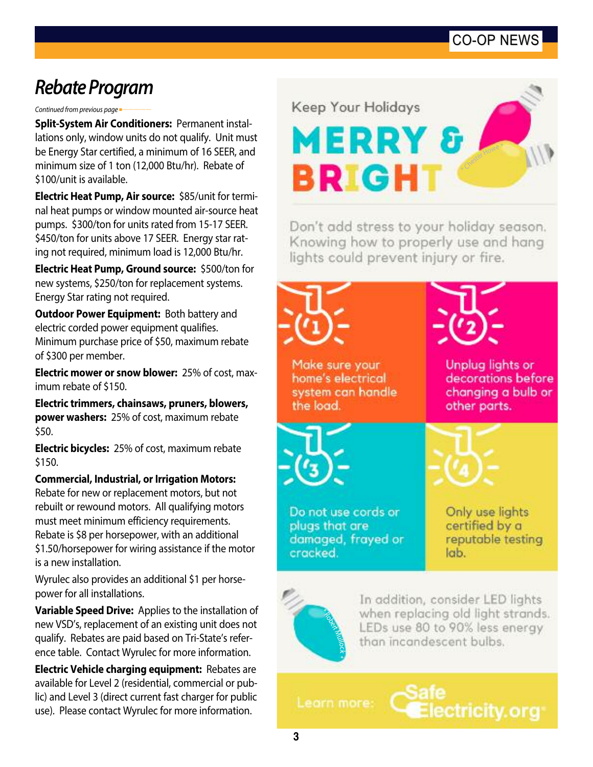#### CO-OP NEWS

## *Re b a te Program*

*Continued from previous page* <sup>n</sup>*—————*

**Split-System Air Conditioners: Permanent instal**lations only, window units do not qualify. Unit must be Energy Star certified, a minimum of 16 SEER, and minimum size of 1 ton (12,000 Btu/hr). Rebate of \$100/unit is available.

**Electric Heat Pump, Air source:** \$85/unit for terminal heat pumps or window mounted air-source heat pumps. \$300/ton for units rated from 15-17 SEER. \$450/ton for units above 17 SEER. Energy star rating not required, minimum load is 12,000 Btu/hr.

**Electric Heat Pump, Ground source:** \$500/ton for new systems, \$250/ton for replacement systems. Energy Star rating not required.

**Outdoor Power Equipment:** Both battery and electric corded power equipment qualifies. Minimum purchase price of \$50, maximum rebate of \$300 per member.

**Electric mower or snow blower:** 25% of cost, maximum rebate of \$150.

Electric trimmers, chainsaws, pruners, blowers, **power washers:** 25% of cost, maximum rebate \$ 5 0 .

**Electric bicycles:** 25% of cost, maximum rebate \$ 1 5 0 .

Commercial, Industrial, or Irrigation Motors: Rebate for new or replacement motors, but not rebuilt or rewound motors. All qualifying motors must meet minimum efficiency requirements. Rebate is \$8 per horsepower, with an additional \$1.50/horsepower for wiring assistance if the motor is a new installation.

Wyrulec also provides an additional \$1 per horsepower for all installations.

**Variable Speed Drive:** Applies to the installation of new VSD's, replacement of an existing unit does not qualify. Rebates are paid based on Tri-State's reference table. Contact Wyrulec for more information.

Electric Vehicle charging equipment: Rebates are available for Level 2 (residential, commercial or public) and Level 3 (direct current fast charger for public use). Please contact Wyrulec for more information.

**Keep Your Holidays**  <sup>C</sup>heste<sup>r</sup> <sup>H</sup>ow<sup>e</sup> **BRIGH** 

Don't add stress to your holiday season. Knowing how to properly use and hang lights could prevent injury or fire.



Leorn more:

ctricity.org